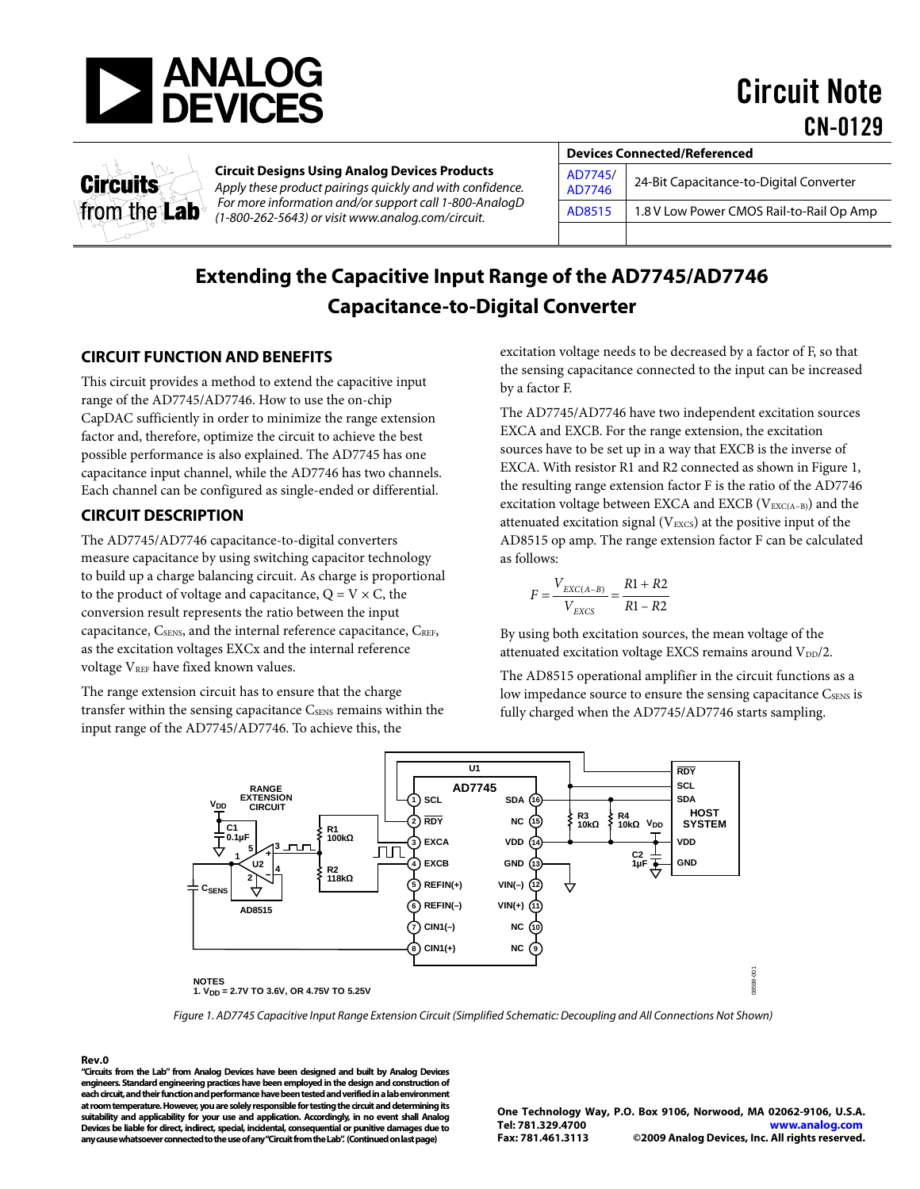

Circuit Note CN-0129



## **Circuit Designs Using Analog Devices Products**

*Apply these product pairings quickly and with confidence. For more information and/or support call 1-800-AnalogD (1-800-262-5643) or visit [www.analog.com/circuit.](http://www.analog.com/circuit)*

| <b>Devices Connected/Referenced</b> |                                          |  |
|-------------------------------------|------------------------------------------|--|
| AD7745/<br>AD7746                   | 24-Bit Capacitance-to-Digital Converter  |  |
| AD8515                              | 1.8 V Low Power CMOS Rail-to-Rail Op Amp |  |
|                                     |                                          |  |

# **Extending the Capacitive Input Range of the AD7745/AD7746 Capacitance-to-Digital Converter**

# **CIRCUIT FUNCTION AND BENEFITS**

This circuit provides a method to extend the capacitive input range of the AD7745/AD7746. How to use the on-chip CapDAC sufficiently in order to minimize the range extension factor and, therefore, optimize the circuit to achieve the best possible performance is also explained. The AD7745 has one capacitance input channel, while the AD7746 has two channels. Each channel can be configured as single-ended or differential.

# **CIRCUIT DESCRIPTION**

The AD7745/AD7746 capacitance-to-digital converters measure capacitance by using switching capacitor technology to build up a charge balancing circuit. As charge is proportional to the product of voltage and capacitance,  $Q = V \times C$ , the conversion result represents the ratio between the input capacitance, C<sub>SENS</sub>, and the internal reference capacitance, C<sub>REF</sub>, as the excitation voltages EXCx and the internal reference voltage VREF have fixed known values.

The range extension circuit has to ensure that the charge transfer within the sensing capacitance CSENS remains within the input range of the AD7745/AD7746. To achieve this, the

excitation voltage needs to be decreased by a factor of F, so that the sensing capacitance connected to the input can be increased by a factor F.

The AD7745/AD7746 have two independent excitation sources EXCA and EXCB. For the range extension, the excitation sources have to be set up in a way that EXCB is the inverse of EXCA. With resistor R1 and R2 connected as shown i[n Figure 1,](#page-0-0) the resulting range extension factor F is the ratio of the AD7746 excitation voltage between EXCA and EXCB (V<sub>EXC(A−B)</sub>) and the attenuated excitation signal ( $V_{EXCS}$ ) at the positive input of the AD8515 op amp. The range extension factor F can be calculated as follows:

$$
F = \frac{V_{EXC(A-B)}}{V_{EXCS}} = \frac{R1 + R2}{R1 - R2}
$$

By using both excitation sources, the mean voltage of the attenuated excitation voltage EXCS remains around V<sub>DD</sub>/2.

The AD8515 operational amplifier in the circuit functions as a low impedance source to ensure the sensing capacitance CSENS is fully charged when the AD7745/AD7746 starts sampling.



*Figure 1. AD7745 Capacitive Input Range Extension Circuit (Simplified Schematic: Decoupling and All Connections Not Shown)*

<span id="page-0-0"></span>**Rev.0**

**"Circuits from the Lab" from Analog Devices have been designed and built by Analog Devices engineers. Standard engineering practices have been employed in the design and construction of each circuit, and their function and performance have been tested and verified in a lab environment at room temperature. However, you are solely responsible for testing the circuit and determining its suitability and applicability for your use and application. Accordingly, in no event shall Analog Devices be liable for direct, indirect, special, incidental, consequential or punitive damages due to any cause whatsoever connected to the use of any "Circuitfrom the Lab". (Continued on last page)**

**One Technology Way, P.O. Box 9106, Norwood, MA 02062-9106, U.S.A. Tel: 781.329.4700 [www.analog.com](http://www.analog.com/)**  ©2009 Analog Devices, Inc. All rights reserved.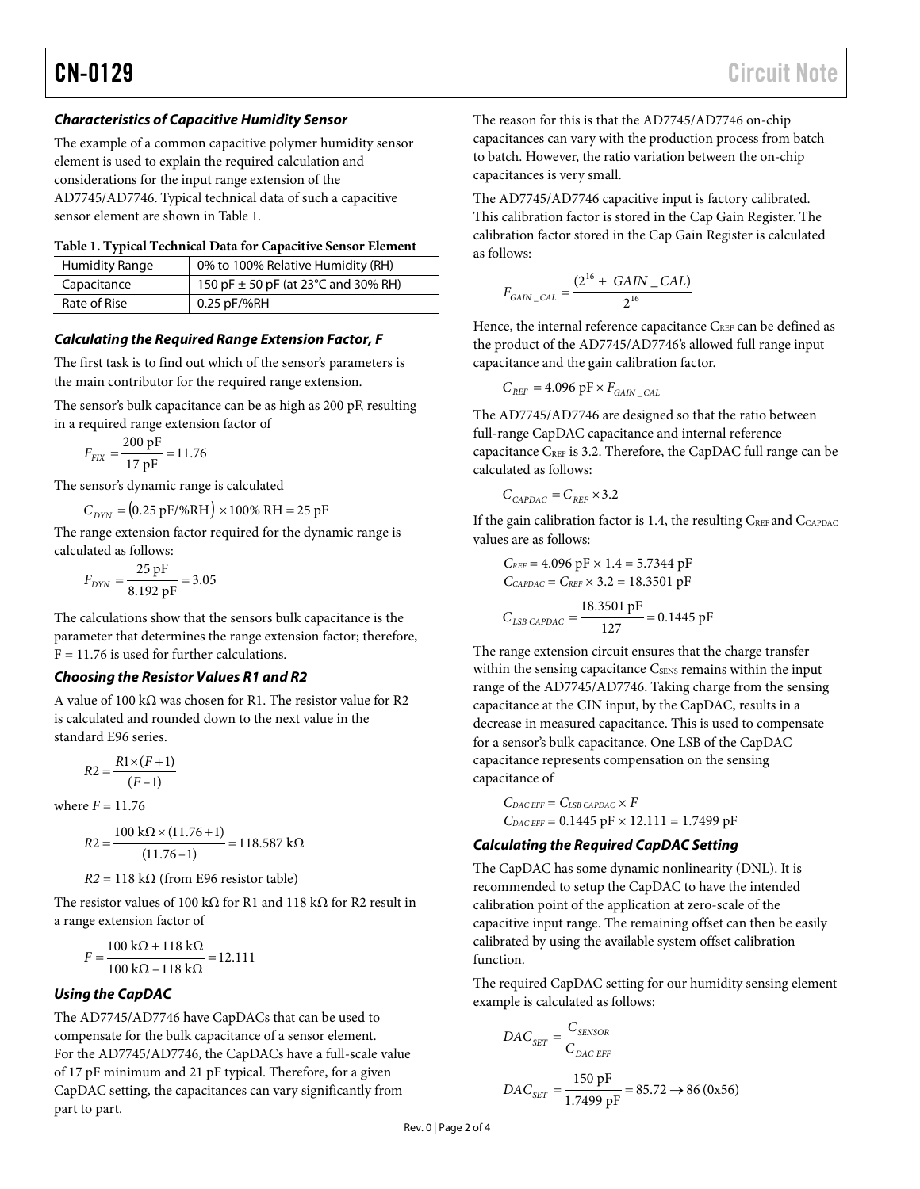# *Characteristics of Capacitive Humidity Sensor*

The example of a common capacitive polymer humidity sensor element is used to explain the required calculation and considerations for the input range extension of the AD7745/AD7746. Typical technical data of such a capacitive sensor element are shown i[n Table 1.](#page-1-0)

#### <span id="page-1-0"></span>**Table 1. Typical Technical Data for Capacitive Sensor Element**

| <b>Humidity Range</b> | 0% to 100% Relative Humidity (RH)       |
|-----------------------|-----------------------------------------|
| Capacitance           | 150 pF $\pm$ 50 pF (at 23°C and 30% RH) |
| Rate of Rise          | 0.25 pF/%RH                             |

## *Calculating the Required Range Extension Factor, F*

The first task is to find out which of the sensor's parameters is the main contributor for the required range extension.

The sensor's bulk capacitance can be as high as 200 pF, resulting in a required range extension factor of

$$
F_{\text{FIX}} = \frac{200 \text{ pF}}{17 \text{ pF}} = 11.76
$$

The sensor's dynamic range is calculated

$$
C_{DYN} = (0.25 \text{ pF} / \% \text{RH}) \times 100\% \text{ RH} = 25 \text{ pF}
$$

The range extension factor required for the dynamic range is calculated as follows:

$$
F_{\rm DYN} = \frac{25 \, \text{pF}}{8.192 \, \text{pF}} = 3.05
$$

The calculations show that the sensors bulk capacitance is the parameter that determines the range extension factor; therefore,  $F = 11.76$  is used for further calculations.

#### *Choosing the Resistor Values R1 and R2*

A value of 100 k $\Omega$  was chosen for R1. The resistor value for R2 is calculated and rounded down to the next value in the standard E96 series.

$$
R2 = \frac{R1 \times (F+1)}{(F-1)}
$$

where  $F = 11.76$ 

$$
R2 = \frac{100 \text{ k}\Omega \times (11.76 + 1)}{(11.76 - 1)} = 118.587 \text{ k}\Omega
$$

 $R2 = 118 \text{ k}\Omega$  (from E96 resistor table)

The resistor values of 100 k $\Omega$  for R1 and 118 k $\Omega$  for R2 result in a range extension factor of

$$
F = \frac{100 \text{ k}\Omega + 118 \text{ k}\Omega}{100 \text{ k}\Omega - 118 \text{ k}\Omega} = 12.111
$$

# *Using the CapDAC*

The AD7745/AD7746 have CapDACs that can be used to compensate for the bulk capacitance of a sensor element. For the AD7745/AD7746, the CapDACs have a full-scale value of 17 pF minimum and 21 pF typical. Therefore, for a given CapDAC setting, the capacitances can vary significantly from part to part.

The reason for this is that the AD7745/AD7746 on-chip capacitances can vary with the production process from batch to batch. However, the ratio variation between the on-chip capacitances is very small.

The AD7745/AD7746 capacitive input is factory calibrated. This calibration factor is stored in the Cap Gain Register. The calibration factor stored in the Cap Gain Register is calculated as follows:

$$
F_{GAIN\_CAL} = \frac{(2^{16} + GAIN\_CAL)}{2^{16}}
$$

Hence, the internal reference capacitance CREF can be defined as the product of the AD7745/AD7746's allowed full range input capacitance and the gain calibration factor.

$$
C_{REF}=4.096\,\mathrm{pF}\times F_{GAN\_CAL}
$$

The AD7745/AD7746 are designed so that the ratio between full-range CapDAC capacitance and internal reference capacitance CREF is 3.2. Therefore, the CapDAC full range can be calculated as follows:

$$
C_{CAPDAC} = C_{REF} \times 3.2
$$

If the gain calibration factor is 1.4, the resulting  $C_{\text{REF}}$  and  $C_{\text{CAPDAC}}$ values are as follows:

$$
C_{REF} = 4.096 \text{ pF} \times 1.4 = 5.7344 \text{ pF}
$$

$$
C_{CAPDAC} = C_{REF} \times 3.2 = 18.3501 \text{ pF}
$$

$$
C_{LSB CAPDAC} = \frac{18.3501 \text{ pF}}{127} = 0.1445 \text{ pF}
$$

The range extension circuit ensures that the charge transfer within the sensing capacitance C<sub>SENS</sub> remains within the input range of the AD7745/AD7746. Taking charge from the sensing capacitance at the CIN input, by the CapDAC, results in a decrease in measured capacitance. This is used to compensate for a sensor's bulk capacitance. One LSB of the CapDAC capacitance represents compensation on the sensing capacitance of

 $C_{DAC EFF} = C_{LSB\ CAPDAC} \times F$  $C_{DAC EFF} = 0.1445 pF \times 12.111 = 1.7499 pF$ 

# *Calculating the Required CapDAC Setting*

The CapDAC has some dynamic nonlinearity (DNL). It is recommended to setup the CapDAC to have the intended calibration point of the application at zero-scale of the capacitive input range. The remaining offset can then be easily calibrated by using the available system offset calibration function.

The required CapDAC setting for our humidity sensing element example is calculated as follows:

$$
DAC_{SET} = \frac{C_{SENSOR}}{C_{DAC EFF}}
$$

$$
DAC_{SET} = \frac{150 \text{ pF}}{1.7499 \text{ pF}} = 85.72 \rightarrow 86 (0 \text{x} 56)
$$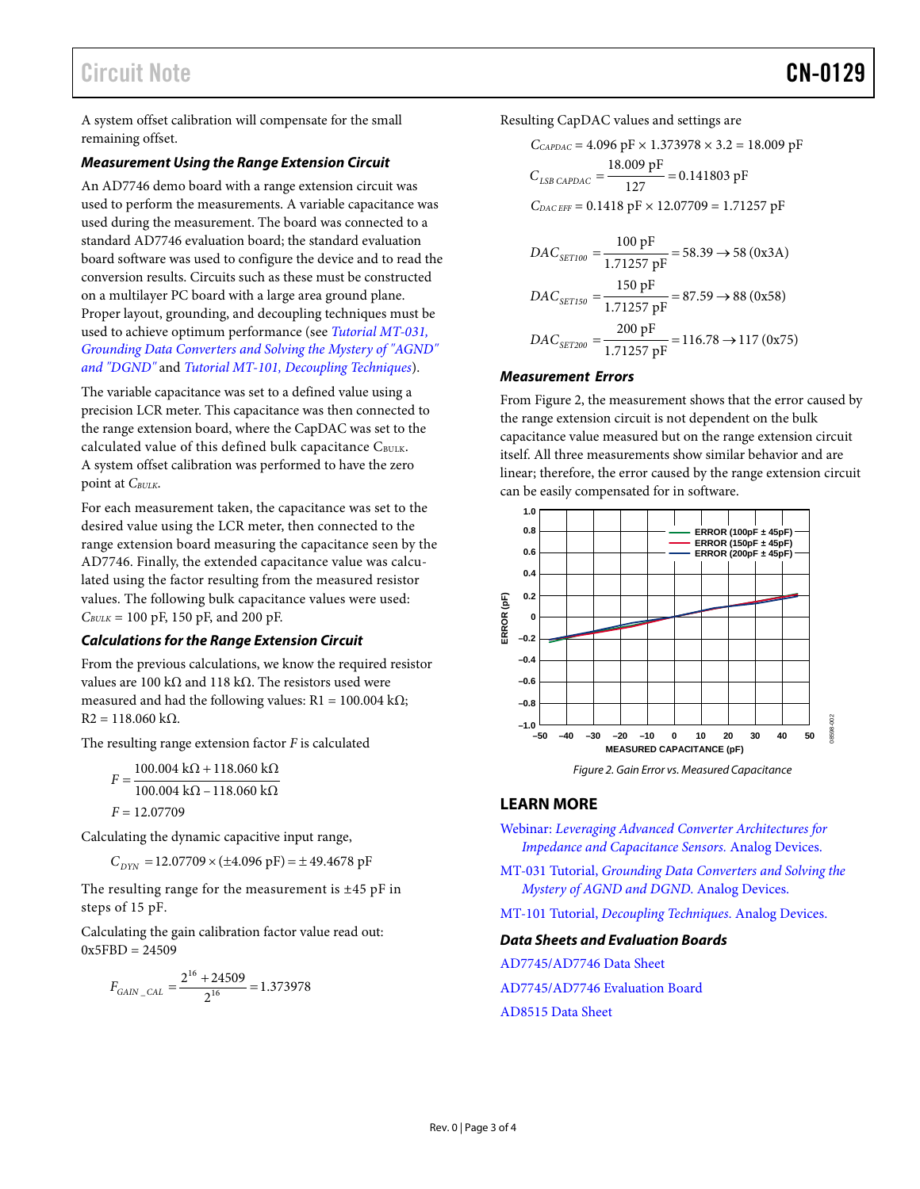A system offset calibration will compensate for the small remaining offset.

#### *Measurement Using the Range Extension Circuit*

An AD7746 demo board with a range extension circuit was used to perform the measurements. A variable capacitance was used during the measurement. The board was connected to a standard AD7746 evaluation board; the standard evaluation board software was used to configure the device and to read the conversion results. Circuits such as these must be constructed on a multilayer PC board with a large area ground plane. Proper layout, grounding, and decoupling techniques must be used to achieve optimum performance (see *[Tutorial MT-031,](http://www.analog.com/mt-031)  [Grounding Data Converters and Solving the Mystery of "AGND"](http://www.analog.com/mt-031)  [and "DGND"](http://www.analog.com/mt-031)* and *[Tutorial MT-101, Decoupling Techniques](http://www.analog.com/mt-101)*).

The variable capacitance was set to a defined value using a precision LCR meter. This capacitance was then connected to the range extension board, where the CapDAC was set to the calculated value of this defined bulk capacitance CBULK. A system offset calibration was performed to have the zero point at *C<sub>BULK</sub>*.

For each measurement taken, the capacitance was set to the desired value using the LCR meter, then connected to the range extension board measuring the capacitance seen by the AD7746. Finally, the extended capacitance value was calculated using the factor resulting from the measured resistor values. The following bulk capacitance values were used:  $C_{BULK}$  = 100 pF, 150 pF, and 200 pF.

#### *Calculations for the Range Extension Circuit*

From the previous calculations, we know the required resistor values are 100 kΩ and 118 kΩ. The resistors used were measured and had the following values:  $R1 = 100.004$  k $\Omega$ ;  $R2 = 118.060$  kΩ.

The resulting range extension factor *F* is calculated

 $100.004 \text{ k}\Omega - 118.060 \text{ k}\Omega$  $F = \frac{100.004 \text{ k}\Omega + 118.060 \text{ k}\Omega}{100.004 \text{ k}\Omega + 118.060 \text{ k}\Omega}$ *F* = 12.07709

Calculating the dynamic capacitive input range,

 $C_{DYN}$  = 12.07709  $\times$  ( $\pm$ 4.096 pF) =  $\pm$  49.4678 pF

The resulting range for the measurement is  $\pm 45$  pF in steps of 15 pF.

Calculating the gain calibration factor value read out:  $0x5FBD = 24509$ 

$$
F_{GAIN\_CAL} = \frac{2^{16} + 24509}{2^{16}} = 1.373978
$$

Resulting CapDAC values and settings are

$$
C_{CAPDAC} = 4.096 \text{ pF} \times 1.373978 \times 3.2 = 18.009 \text{ pF}
$$

$$
C_{LSB\ CAPDAC} = \frac{18.009 \text{ pF}}{127} = 0.141803 \text{ pF}
$$

$$
C_{DAC\ EFF} = 0.1418 \text{ pF} \times 12.07709 = 1.71257 \text{ pF}
$$

$$
DAC_{SET100} = \frac{100 \text{ pF}}{1.71257 \text{ pF}} = 58.39 \rightarrow 58 (0x3A)
$$
  

$$
DAC_{SET150} = \frac{150 \text{ pF}}{1.71257 \text{ pF}} = 87.59 \rightarrow 88 (0x58)
$$
  

$$
DAC_{SET200} = \frac{200 \text{ pF}}{1.71257 \text{ pF}} = 116.78 \rightarrow 117 (0x75)
$$

#### *Measurement Errors*

From [Figure 2,](#page-2-0) the measurement shows that the error caused by the range extension circuit is not dependent on the bulk capacitance value measured but on the range extension circuit itself. All three measurements show similar behavior and are linear; therefore, the error caused by the range extension circuit can be easily compensated for in software.



*Figure 2. Gain Error vs. Measured Capacitance*

# <span id="page-2-0"></span>**LEARN MORE**

Webinar: *[Leveraging Advanced Converter Architectures for](http://www.analog.com/webinar-leveraging)  [Impedance and Capacitance Sensors.](http://www.analog.com/webinar-leveraging)* Analog Devices.

MT-031 Tutorial, *[Grounding Data Converters and Solving the](http://www.analog.com/static/imported-files/tutorials/MT-031.pdf)  [Mystery of AGND and DGND](http://www.analog.com/static/imported-files/tutorials/MT-031.pdf)*. Analog Devices.

MT-101 Tutorial, *[Decoupling Techniques](http://www.analog.com/static/imported-files/tutorials/MT-101.pdf)*. Analog Devices.

#### *Data Sheets and Evaluation Boards*

[AD7745/AD7746](http://www.analog.com/ad7745) Data Sheet

[AD7745/AD7746 Evaluation Board](http://www.analog.com/ad7745)

[AD8515](http://www.analog.com/ad8515) [Data Sheet](http://www.analog.com/AD8515)